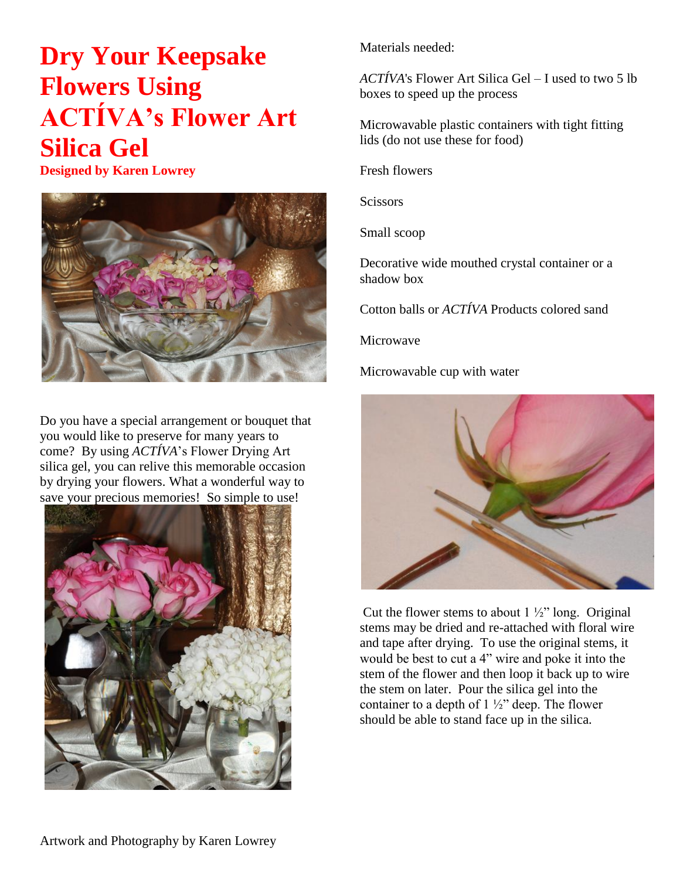## **Dry Your Keepsake Flowers Using ACTÍVA's Flower Art Silica Gel**

**Designed by Karen Lowrey**



Do you have a special arrangement or bouquet that you would like to preserve for many years to come? By using *ACTÍVA*'s Flower Drying Art silica gel, you can relive this memorable occasion by drying your flowers. What a wonderful way to save your precious memories! So simple to use!



Materials needed:

*ACTÍVA*['s Flower Art Silica Gel](http://activaproducts.com/collections/floral/products/5-lb-box-flower-silica-gel) – I used to two 5 lb boxes to speed up the process

Microwavable plastic containers with tight fitting lids (do not use these for food)

Fresh flowers

**Scissors** 

Small scoop

Decorative wide mouthed crystal container or a shadow box

Cotton balls or *ACTÍVA* Products [colored sand](http://activaproducts.com/collections/floral/products/28-oz-bag-decor-sand)

Microwave

Microwavable cup with water



Cut the flower stems to about  $1\frac{1}{2}$ " long. Original stems may be dried and re-attached with floral wire and tape after drying. To use the original stems, it would be best to cut a 4" wire and poke it into the stem of the flower and then loop it back up to wire the stem on later. Pour the silica gel into the container to a depth of  $1\frac{1}{2}$  deep. The flower should be able to stand face up in the silica.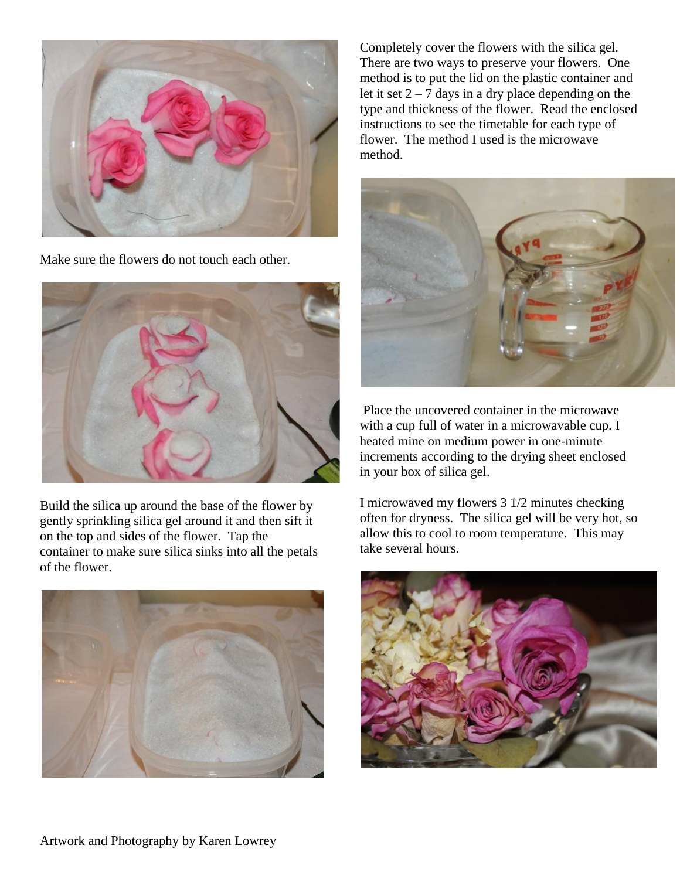

Make sure the flowers do not touch each other.



Build the silica up around the base of the flower by gently sprinkling silica gel around it and then sift it on the top and sides of the flower. Tap the container to make sure silica sinks into all the petals of the flower.



Completely cover the flowers with the silica gel. There are two ways to preserve your flowers. One method is to put the lid on the plastic container and let it set  $2 - 7$  days in a dry place depending on the type and thickness of the flower. Read the enclosed instructions to see the timetable for each type of flower. The method I used is the microwave method.



Place the uncovered container in the microwave with a cup full of water in a microwavable cup. I heated mine on medium power in one-minute increments according to the drying sheet enclosed in your box of silica gel.

I microwaved my flowers 3 1/2 minutes checking often for dryness. The silica gel will be very hot, so allow this to cool to room temperature. This may take several hours.